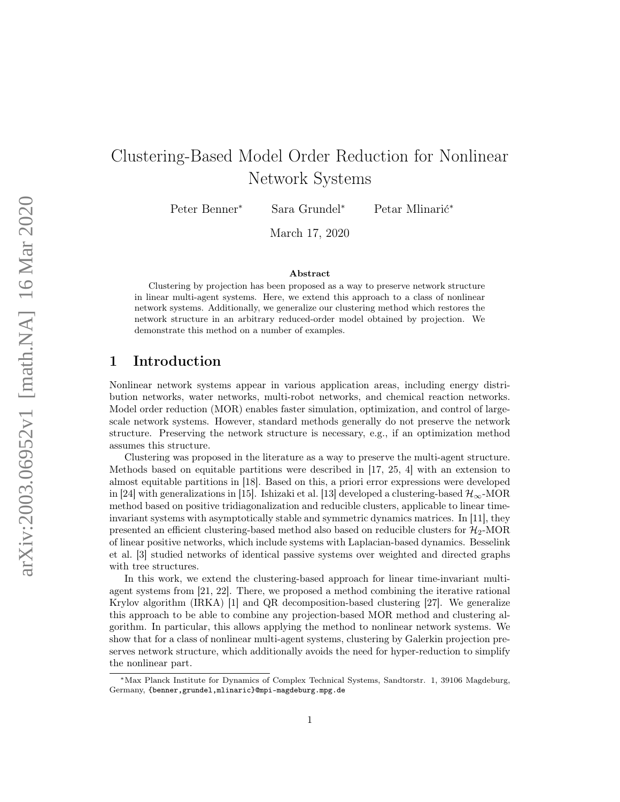# Clustering-Based Model Order Reduction for Nonlinear Network Systems

Peter Benner<sup>∗</sup> Sara Grundel<sup>∗</sup> Petar Mlinarić<sup>∗</sup>

March 17, 2020

#### Abstract

Clustering by projection has been proposed as a way to preserve network structure in linear multi-agent systems. Here, we extend this approach to a class of nonlinear network systems. Additionally, we generalize our clustering method which restores the network structure in an arbitrary reduced-order model obtained by projection. We demonstrate this method on a number of examples.

# 1 Introduction

Nonlinear network systems appear in various application areas, including energy distribution networks, water networks, multi-robot networks, and chemical reaction networks. Model order reduction (MOR) enables faster simulation, optimization, and control of largescale network systems. However, standard methods generally do not preserve the network structure. Preserving the network structure is necessary, e.g., if an optimization method assumes this structure.

Clustering was proposed in the literature as a way to preserve the multi-agent structure. Methods based on equitable partitions were described in [\[17,](#page-14-0) [25,](#page-15-0) [4\]](#page-12-0) with an extension to almost equitable partitions in [\[18\]](#page-14-1). Based on this, a priori error expressions were developed in [\[24\]](#page-15-1) with generalizations in [\[15\]](#page-13-0). Ishizaki et al. [\[13\]](#page-13-1) developed a clustering-based  $\mathcal{H}_{\infty}$ -MOR method based on positive tridiagonalization and reducible clusters, applicable to linear timeinvariant systems with asymptotically stable and symmetric dynamics matrices. In [\[11\]](#page-13-2), they presented an efficient clustering-based method also based on reducible clusters for  $\mathcal{H}_2$ -MOR of linear positive networks, which include systems with Laplacian-based dynamics. Besselink et al. [\[3\]](#page-12-1) studied networks of identical passive systems over weighted and directed graphs with tree structures.

In this work, we extend the clustering-based approach for linear time-invariant multiagent systems from [\[21,](#page-14-2) [22\]](#page-14-3). There, we proposed a method combining the iterative rational Krylov algorithm (IRKA) [\[1\]](#page-12-2) and QR decomposition-based clustering [\[27\]](#page-15-2). We generalize this approach to be able to combine any projection-based MOR method and clustering algorithm. In particular, this allows applying the method to nonlinear network systems. We show that for a class of nonlinear multi-agent systems, clustering by Galerkin projection preserves network structure, which additionally avoids the need for hyper-reduction to simplify the nonlinear part.

<sup>∗</sup>Max Planck Institute for Dynamics of Complex Technical Systems, Sandtorstr. 1, 39106 Magdeburg, Germany, {benner,grundel,mlinaric}@mpi-magdeburg.mpg.de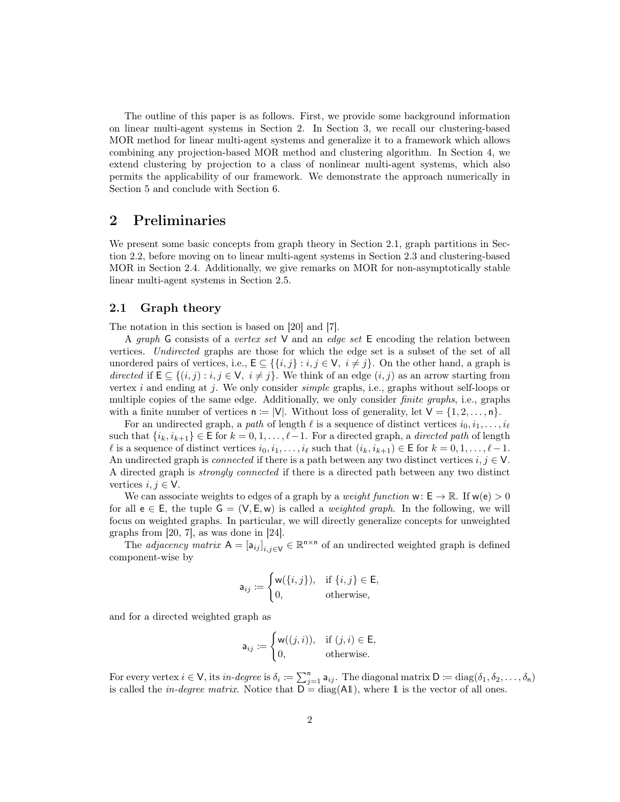The outline of this paper is as follows. First, we provide some background information on linear multi-agent systems in Section [2.](#page-1-0) In Section [3,](#page-6-0) we recall our clustering-based MOR method for linear multi-agent systems and generalize it to a framework which allows combining any projection-based MOR method and clustering algorithm. In Section [4,](#page-8-0) we extend clustering by projection to a class of nonlinear multi-agent systems, which also permits the applicability of our framework. We demonstrate the approach numerically in Section [5](#page-10-0) and conclude with Section [6.](#page-11-0)

## <span id="page-1-0"></span>2 Preliminaries

We present some basic concepts from graph theory in Section [2.1,](#page-1-1) graph partitions in Section [2.2,](#page-2-0) before moving on to linear multi-agent systems in Section [2.3](#page-2-1) and clustering-based MOR in Section [2.4.](#page-4-0) Additionally, we give remarks on MOR for non-asymptotically stable linear multi-agent systems in Section [2.5.](#page-5-0)

## <span id="page-1-1"></span>2.1 Graph theory

The notation in this section is based on [\[20\]](#page-14-4) and [\[7\]](#page-12-3).

A graph G consists of a vertex set  $V$  and an edge set E encoding the relation between vertices. Undirected graphs are those for which the edge set is a subset of the set of all unordered pairs of vertices, i.e.,  $E \subseteq \{ \{i, j\} : i, j \in V, i \neq j \}$ . On the other hand, a graph is directed if  $E \subseteq \{(i, j) : i, j \in V, i \neq j\}$ . We think of an edge  $(i, j)$  as an arrow starting from vertex i and ending at j. We only consider *simple* graphs, i.e., graphs without self-loops or multiple copies of the same edge. Additionally, we only consider *finite graphs*, i.e., graphs with a finite number of vertices  $n := |V|$ . Without loss of generality, let  $V = \{1, 2, ..., n\}$ .

For an undirected graph, a path of length  $\ell$  is a sequence of distinct vertices  $i_0, i_1, \ldots, i_\ell$ such that  $\{i_k, i_{k+1}\}\in \mathsf{E}$  for  $k=0,1,\ldots,\ell-1$ . For a directed graph, a *directed path* of length  $\ell$  is a sequence of distinct vertices  $i_0, i_1, \ldots, i_\ell$  such that  $(i_k, i_{k+1}) \in \mathsf{E}$  for  $k = 0, 1, \ldots, \ell-1$ . An undirected graph is *connected* if there is a path between any two distinct vertices  $i, j \in V$ . A directed graph is strongly connected if there is a directed path between any two distinct vertices  $i, j \in V$ .

We can associate weights to edges of a graph by a *weight function*  $w: E \to \mathbb{R}$ . If  $w(e) > 0$ for all  $e \in E$ , the tuple  $G = (V, E, w)$  is called a *weighted graph*. In the following, we will focus on weighted graphs. In particular, we will directly generalize concepts for unweighted graphs from [\[20,](#page-14-4) [7\]](#page-12-3), as was done in [\[24\]](#page-15-1).

The *adjacency matrix*  $A = [a_{ij}]_{i,j \in V} \in \mathbb{R}^{n \times n}$  of an undirected weighted graph is defined component-wise by

$$
\mathsf{a}_{ij} \coloneqq \begin{cases} \mathsf{w}(\{i,j\}), & \text{if } \{i,j\} \in \mathsf{E}, \\ 0, & \text{otherwise}, \end{cases}
$$

and for a directed weighted graph as

$$
\mathsf{a}_{ij} := \begin{cases} \mathsf{w}((j,i)), & \text{if } (j,i) \in \mathsf{E}, \\ 0, & \text{otherwise.} \end{cases}
$$

For every vertex  $i \in V$ , its in-degree is  $\delta_i := \sum_{j=1}^n a_{ij}$ . The diagonal matrix  $D := diag(\delta_1, \delta_2, \ldots, \delta_n)$ is called the *in-degree matrix*. Notice that  $\overline{D} = diag(A1)$ , where 1 is the vector of all ones.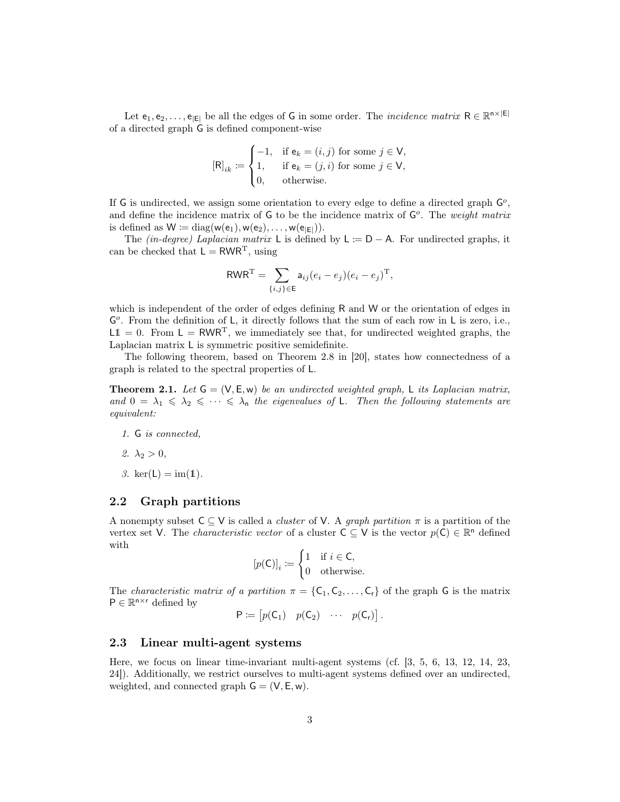Let  $e_1, e_2, \ldots, e_{|E|}$  be all the edges of G in some order. The *incidence matrix*  $R \in \mathbb{R}^{n \times |E|}$ of a directed graph G is defined component-wise

$$
[\mathsf{R}]_{ik} := \begin{cases} -1, & \text{if } \mathsf{e}_k = (i,j) \text{ for some } j \in \mathsf{V}, \\ 1, & \text{if } \mathsf{e}_k = (j,i) \text{ for some } j \in \mathsf{V}, \\ 0, & \text{otherwise.} \end{cases}
$$

If G is undirected, we assign some orientation to every edge to define a directed graph  $\mathsf{G}^o$ , and define the incidence matrix of  $G$  to be the incidence matrix of  $G<sup>o</sup>$ . The weight matrix is defined as  $W := diag(w(e_1), w(e_2), \ldots, w(e_{|E|})).$ 

The (in-degree) Laplacian matrix L is defined by  $L := D - A$ . For undirected graphs, it can be checked that  $L = RWR^{T}$ , using

$$
\text{RWR}^{\text{T}} = \sum_{\{i,j\} \in \text{E}} \mathsf{a}_{ij} (e_i - e_j)(e_i - e_j)^{\text{T}},
$$

which is independent of the order of edges defining R and W or the orientation of edges in G<sup>o</sup>. From the definition of L, it directly follows that the sum of each row in L is zero, i.e.,  $L1 = 0$ . From  $L = RWR^{T}$ , we immediately see that, for undirected weighted graphs, the Laplacian matrix L is symmetric positive semidefinite.

The following theorem, based on Theorem 2.8 in [\[20\]](#page-14-4), states how connectedness of a graph is related to the spectral properties of L.

**Theorem 2.1.** Let  $G = (V, E, w)$  be an undirected weighted graph, L its Laplacian matrix, and  $0 = \lambda_1 \leqslant \lambda_2 \leqslant \cdots \leqslant \lambda_n$  the eigenvalues of L. Then the following statements are equivalent:

- 1. G is connected,
- 2.  $\lambda_2 > 0$ ,
- 3.  $ker(L) = im(1)$ .

#### <span id="page-2-0"></span>2.2 Graph partitions

A nonempty subset  $C \subset V$  is called a *cluster* of V. A *graph partition*  $\pi$  is a partition of the vertex set V. The *characteristic vector* of a cluster  $C \subseteq V$  is the vector  $p(C) \in \mathbb{R}^n$  defined with

$$
[p(\mathsf{C})]_i \coloneqq \begin{cases} 1 & \text{if } i \in \mathsf{C}, \\ 0 & \text{otherwise.} \end{cases}
$$

The *characteristic matrix of a partition*  $\pi = \{C_1, C_2, \ldots, C_r\}$  of the graph G is the matrix  $P \in \mathbb{R}^{n \times r}$  defined by

$$
P \coloneqq \begin{bmatrix} p(C_1) & p(C_2) & \cdots & p(C_r) \end{bmatrix}.
$$

## <span id="page-2-1"></span>2.3 Linear multi-agent systems

Here, we focus on linear time-invariant multi-agent systems (cf. [\[3,](#page-12-1) [5,](#page-12-4) [6,](#page-12-5) [13,](#page-13-1) [12,](#page-13-3) [14,](#page-13-4) [23,](#page-14-5) [24\]](#page-15-1)). Additionally, we restrict ourselves to multi-agent systems defined over an undirected, weighted, and connected graph  $G = (V, E, w)$ .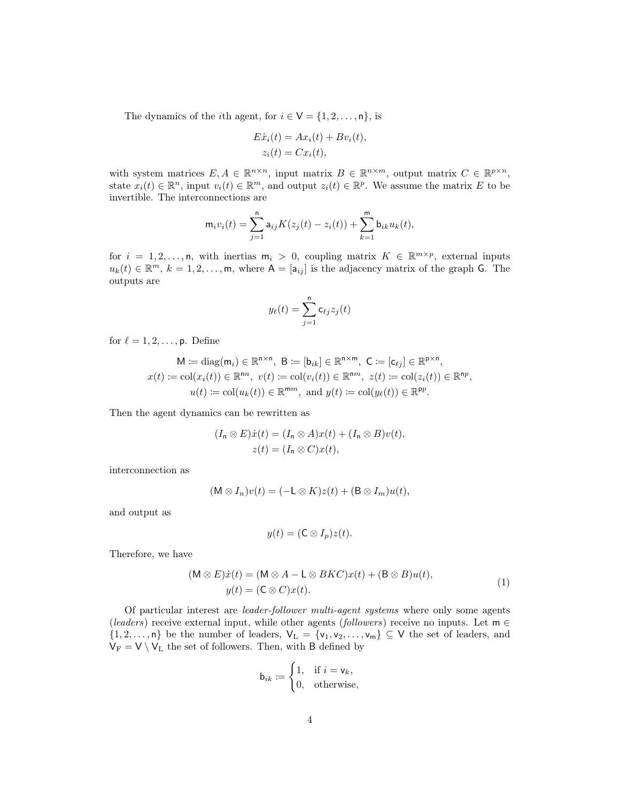The dynamics of the *i*th agent, for  $i \in V = \{1, 2, ..., n\}$ , is

$$
E\dot{x}_i(t) = Ax_i(t) + Bv_i(t),
$$
  

$$
z_i(t) = Cx_i(t),
$$

with system matrices  $E, A \in \mathbb{R}^{n \times n}$ , input matrix  $B \in \mathbb{R}^{n \times m}$ , output matrix  $C \in \mathbb{R}^{p \times n}$ , state  $x_i(t) \in \mathbb{R}^n$ , input  $v_i(t) \in \mathbb{R}^m$ , and output  $z_i(t) \in \mathbb{R}^p$ . We assume the matrix E to be invertible. The interconnections are

$$
\mathsf{m}_iv_i(t) = \sum_{j=1}^{\mathsf{n}} \mathsf{a}_{ij} K(z_j(t) - z_i(t)) + \sum_{k=1}^{\mathsf{m}} \mathsf{b}_{ik} u_k(t),
$$

for  $i = 1, 2, ..., n$ , with inertias  $m_i > 0$ , coupling matrix  $K \in \mathbb{R}^{m \times p}$ , external inputs  $u_k(t) \in \mathbb{R}^m$ ,  $k = 1, 2, ..., m$ , where  $A = [a_{ij}]$  is the adjacency matrix of the graph G. The outputs are

$$
y_{\ell}(t) = \sum_{j=1}^{n} c_{\ell j} z_j(t)
$$

for  $\ell = 1, 2, \ldots, p$ . Define

$$
\mathsf{M} := \text{diag}(\mathsf{m}_i) \in \mathbb{R}^{n \times n}, \ \mathsf{B} := [\mathsf{b}_{ik}] \in \mathbb{R}^{n \times m}, \ \mathsf{C} := [\mathsf{c}_{\ell j}] \in \mathbb{R}^{p \times n},
$$

$$
x(t) := \text{col}(x_i(t)) \in \mathbb{R}^{nn}, \ v(t) := \text{col}(v_i(t)) \in \mathbb{R}^{nm}, \ z(t) := \text{col}(z_i(t)) \in \mathbb{R}^{np},
$$

$$
u(t) := \text{col}(u_k(t)) \in \mathbb{R}^{mm}, \ \text{and} \ y(t) := \text{col}(y_\ell(t)) \in \mathbb{R}^{pp}.
$$

Then the agent dynamics can be rewritten as

$$
(I_n \otimes E)\dot{x}(t) = (I_n \otimes A)x(t) + (I_n \otimes B)v(t),
$$
  
 
$$
z(t) = (I_n \otimes C)x(t),
$$

interconnection as

$$
(\mathsf{M} \otimes I_n)v(t) = (-\mathsf{L} \otimes K)z(t) + (\mathsf{B} \otimes I_m)u(t),
$$

and output as

$$
y(t) = (\mathsf{C} \otimes I_p)z(t).
$$

Therefore, we have

<span id="page-3-0"></span>
$$
(M \otimes E)\dot{x}(t) = (M \otimes A - L \otimes BKC)x(t) + (B \otimes B)u(t),
$$
  

$$
y(t) = (C \otimes C)x(t).
$$
 (1)

Of particular interest are leader-follower multi-agent systems where only some agents (leaders) receive external input, while other agents (followers) receive no inputs. Let  $m \in$  $\{1, 2, \ldots, n\}$  be the number of leaders,  $V_L = \{v_1, v_2, \ldots, v_m\} \subseteq V$  the set of leaders, and  $V_F = V \setminus V_L$  the set of followers. Then, with  $B$  defined by

$$
\mathsf{b}_{ik} \coloneqq \begin{cases} 1, & \text{if } i = \mathsf{v}_k, \\ 0, & \text{otherwise,} \end{cases}
$$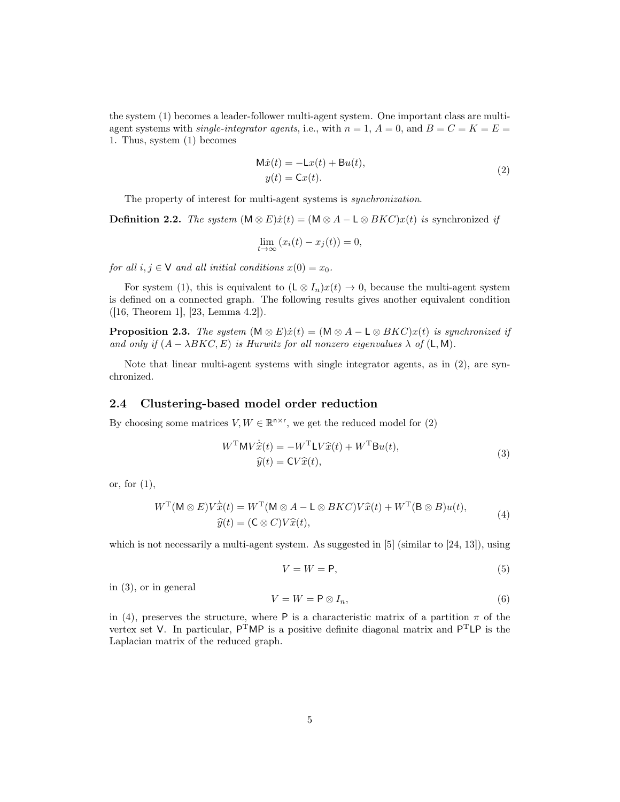the system [\(1\)](#page-3-0) becomes a leader-follower multi-agent system. One important class are multiagent systems with *single-integrator agents*, i.e., with  $n = 1$ ,  $A = 0$ , and  $B = C = K = E$ 1. Thus, system [\(1\)](#page-3-0) becomes

<span id="page-4-1"></span>
$$
\begin{aligned} \mathbf{M}\dot{x}(t) &= -\mathbf{L}x(t) + \mathbf{B}u(t), \\ y(t) &= \mathbf{C}x(t). \end{aligned} \tag{2}
$$

The property of interest for multi-agent systems is *synchronization*.

**Definition 2.2.** The system  $(M \otimes E)\dot{x}(t) = (M \otimes A - L \otimes BK C)x(t)$  is synchronized if

$$
\lim_{t \to \infty} (x_i(t) - x_j(t)) = 0,
$$

for all  $i, j \in V$  and all initial conditions  $x(0) = x_0$ .

For system [\(1\)](#page-3-0), this is equivalent to  $(L \otimes I_n)x(t) \to 0$ , because the multi-agent system is defined on a connected graph. The following results gives another equivalent condition ([\[16,](#page-14-6) Theorem 1], [\[23,](#page-14-5) Lemma 4.2]).

<span id="page-4-6"></span>**Proposition 2.3.** The system  $(M \otimes E)\dot{x}(t) = (M \otimes A - L \otimes BKC)x(t)$  is synchronized if and only if  $(A - \lambda BKC, E)$  is Hurwitz for all nonzero eigenvalues  $\lambda$  of  $(L, M)$ .

Note that linear multi-agent systems with single integrator agents, as in [\(2\)](#page-4-1), are synchronized.

## <span id="page-4-0"></span>2.4 Clustering-based model order reduction

By choosing some matrices  $V, W \in \mathbb{R}^{n \times r}$ , we get the reduced model for [\(2\)](#page-4-1)

$$
W^{\mathrm{T}}MV\dot{\hat{x}}(t) = -W^{\mathrm{T}}LV\hat{x}(t) + W^{\mathrm{T}}Bu(t),
$$
  
\n
$$
\hat{y}(t) = CV\hat{x}(t),
$$
\n(3)

or, for  $(1)$ ,

<span id="page-4-3"></span>
$$
WT(M \otimes E)V\dot{\hat{x}}(t) = WT(M \otimes A - L \otimes BKC)V\hat{x}(t) + WT(B \otimes B)u(t),
$$
  

$$
\hat{y}(t) = (C \otimes C)V\hat{x}(t),
$$
 (4)

<span id="page-4-4"></span>which is not necessarily a multi-agent system. As suggested in  $[5]$  (similar to  $[24, 13]$  $[24, 13]$ ), using

<span id="page-4-2"></span>
$$
V = W = \mathsf{P},\tag{5}
$$

in [\(3\)](#page-4-2), or in general

<span id="page-4-5"></span>
$$
V = W = \mathsf{P} \otimes I_n,\tag{6}
$$

in [\(4\)](#page-4-3), preserves the structure, where P is a characteristic matrix of a partition  $\pi$  of the vertex set V. In particular,  $P^{T}MP$  is a positive definite diagonal matrix and  $P^{T}LP$  is the Laplacian matrix of the reduced graph.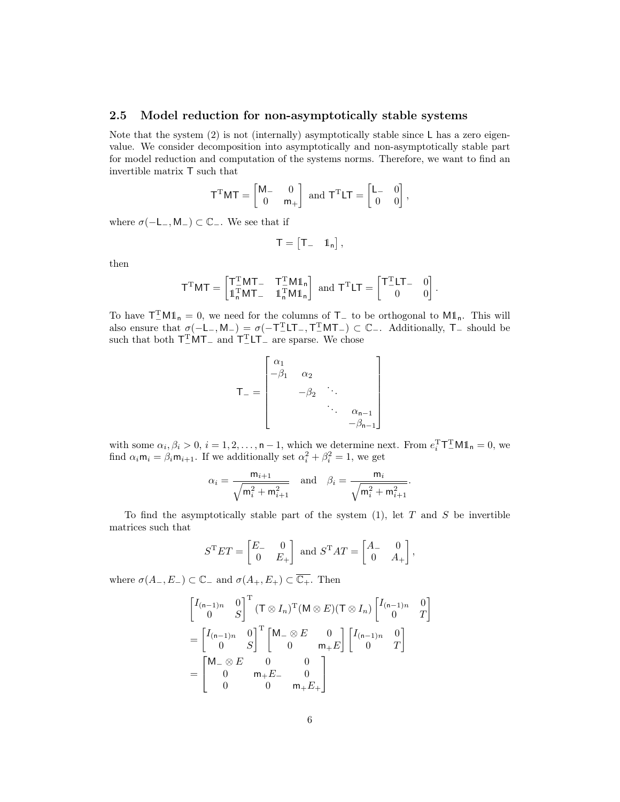#### <span id="page-5-0"></span>2.5 Model reduction for non-asymptotically stable systems

Note that the system  $(2)$  is not (internally) asymptotically stable since L has a zero eigenvalue. We consider decomposition into asymptotically and non-asymptotically stable part for model reduction and computation of the systems norms. Therefore, we want to find an invertible matrix T such that

$$
\mathsf{T}^{\mathrm{T}}\mathsf{MT} = \begin{bmatrix} \mathsf{M}_{-} & 0 \\ 0 & \mathsf{m}_{+} \end{bmatrix} \text{ and } \mathsf{T}^{\mathrm{T}}\mathsf{LT} = \begin{bmatrix} \mathsf{L}_{-} & 0 \\ 0 & 0 \end{bmatrix},
$$

where  $\sigma(-L_-, M_-) \subset \mathbb{C}_-$ . We see that if

$$
T=\begin{bmatrix}T_+ & 1_n\end{bmatrix},
$$

then

$$
\mathsf{T}^{\mathrm{T}}\mathsf{M}\mathsf{T} = \begin{bmatrix} \mathsf{T}^{\mathrm{T}}_{\bot}\mathsf{M}\mathsf{T}_{-} & \mathsf{T}^{\mathrm{T}}_{\bot}\mathsf{M}\mathbb{1}_{\mathsf{n}} \\ \mathbb{1}^{\mathrm{T}}_{\mathsf{n}}\mathsf{M}\mathsf{T}_{-} & \mathbb{1}^{\mathrm{T}}_{\mathsf{n}}\mathsf{M}\mathbb{1}_{\mathsf{n}} \end{bmatrix} \text{ and } \mathsf{T}^{\mathrm{T}}\mathsf{L}\mathsf{T} = \begin{bmatrix} \mathsf{T}^{\mathrm{T}}_{-}\mathsf{L}\mathsf{T}_{-} & 0 \\ 0 & 0 \end{bmatrix}.
$$

To have  $T_{-}^{\text{T}}M1_{n} = 0$ , we need for the columns of  $T_{-}$  to be orthogonal to  $M1_{n}$ . This will also ensure that  $\sigma(-L_-, M_-) = \sigma(-T_-^T L T_-, T_-^T M T_-) \subset \mathbb{C}_-$ . Additionally,  $T_-$  should be such that both  $T_{-}^{T}MT_{-}$  and  $T_{-}^{T}LT_{-}$  are sparse. We chose

$$
\mathsf{T}_{-} = \begin{bmatrix} \alpha_1 & & & & \\ -\beta_1 & \alpha_2 & & & \\ & -\beta_2 & \ddots & & \\ & & \ddots & \ddots & \\ & & & -\beta_{n-1} \end{bmatrix}
$$

with some  $\alpha_i, \beta_i > 0$ ,  $i = 1, 2, ..., n - 1$ , which we determine next. From  $e_i^T T_{-}^T M \mathbb{1}_n = 0$ , we find  $\alpha_i \mathbf{m}_i = \beta_i \mathbf{m}_{i+1}$ . If we additionally set  $\alpha_i^2 + \beta_i^2 = 1$ , we get

$$
\alpha_i = \frac{m_{i+1}}{\sqrt{m_i^2 + m_{i+1}^2}}
$$
 and  $\beta_i = \frac{m_i}{\sqrt{m_i^2 + m_{i+1}^2}}$ .

To find the asymptotically stable part of the system  $(1)$ , let T and S be invertible matrices such that

$$
ST ET = \begin{bmatrix} E_- & 0 \\ 0 & E_+ \end{bmatrix} \text{ and } ST AT = \begin{bmatrix} A_- & 0 \\ 0 & A_+ \end{bmatrix},
$$

where  $\sigma(A_-, E_-) \subset \mathbb{C}_-$  and  $\sigma(A_+, E_+) \subset \overline{\mathbb{C}_+}.$  Then

$$
\begin{aligned}\n\begin{bmatrix}\nI_{(n-1)n} & 0 \\
0 & S\n\end{bmatrix}^{\mathrm{T}} (\mathsf{T} \otimes I_n)^{\mathrm{T}} (\mathsf{M} \otimes E) (\mathsf{T} \otimes I_n) \begin{bmatrix}\nI_{(n-1)n} & 0 \\
0 & T\n\end{bmatrix} \\
&= \begin{bmatrix}\nI_{(n-1)n} & 0 \\
0 & S\n\end{bmatrix}^{\mathrm{T}} \begin{bmatrix}\n\mathsf{M}_{-\otimes} E & 0 \\
0 & \mathsf{m}_{+} E\n\end{bmatrix} \begin{bmatrix}\nI_{(n-1)n} & 0 \\
0 & T\n\end{bmatrix} \\
&= \begin{bmatrix}\n\mathsf{M}_{-\otimes} E & 0 & 0 \\
0 & \mathsf{m}_{+} E_{-} & 0 \\
0 & 0 & \mathsf{m}_{+} E_{+}\n\end{bmatrix}\n\end{aligned}
$$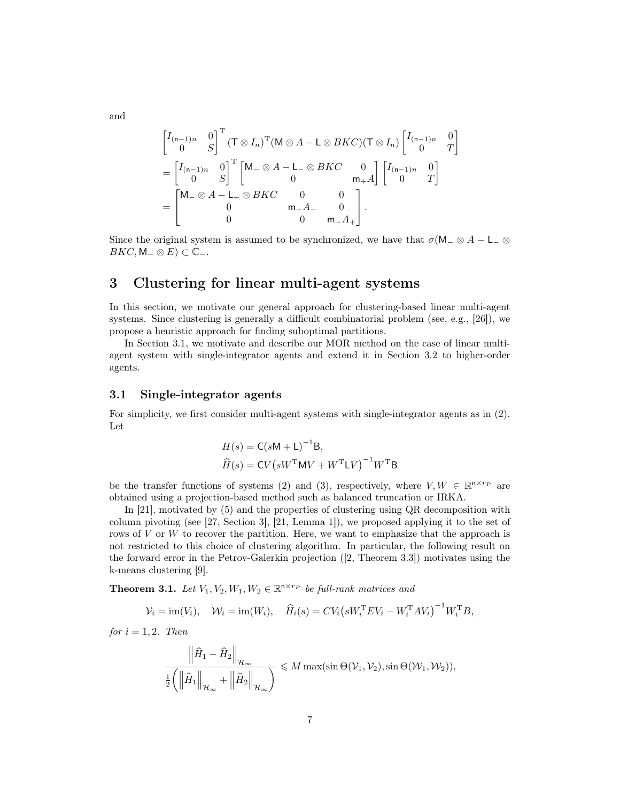and

$$
\begin{aligned}\n\begin{bmatrix}\nI_{(n-1)n} & 0 \\
0 & S\n\end{bmatrix}^{\mathrm{T}} (\mathsf{T} \otimes I_n)^{\mathrm{T}} (\mathsf{M} \otimes A - \mathsf{L} \otimes BKC) (\mathsf{T} \otimes I_n) \begin{bmatrix}\nI_{(n-1)n} & 0 \\
0 & T\n\end{bmatrix} \\
&= \begin{bmatrix}\nI_{(n-1)n} & 0 \\
0 & S\n\end{bmatrix}^{\mathrm{T}} \begin{bmatrix}\n\mathsf{M}_{-} \otimes A - \mathsf{L}_{-} \otimes BKC & 0 \\
0 & m_{+}A\n\end{bmatrix} \begin{bmatrix}\nI_{(n-1)n} & 0 \\
0 & T\n\end{bmatrix} \\
&= \begin{bmatrix}\n\mathsf{M}_{-} \otimes A - \mathsf{L}_{-} \otimes BKC & 0 & 0 \\
0 & m_{+}A_{-} & 0 \\
0 & 0 & m_{+}A_{+}\n\end{bmatrix}.\n\end{aligned}
$$

Since the original system is assumed to be synchronized, we have that  $\sigma(M-\otimes A-L_-\otimes A)$  $BKC, M<sub>-</sub> \otimes E) \subset \mathbb{C}_-.$ 

# <span id="page-6-0"></span>3 Clustering for linear multi-agent systems

In this section, we motivate our general approach for clustering-based linear multi-agent systems. Since clustering is generally a difficult combinatorial problem (see, e.g., [\[26\]](#page-15-3)), we propose a heuristic approach for finding suboptimal partitions.

In Section [3.1,](#page-6-1) we motivate and describe our MOR method on the case of linear multiagent system with single-integrator agents and extend it in Section [3.2](#page-8-1) to higher-order agents.

## <span id="page-6-1"></span>3.1 Single-integrator agents

For simplicity, we first consider multi-agent systems with single-integrator agents as in [\(2\)](#page-4-1). Let

$$
H(s) = C(sM + L)^{-1}B,
$$
  

$$
\widehat{H}(s) = CV(sW^{T}MV + W^{T}LV)^{-1}W^{T}B
$$

be the transfer functions of systems [\(2\)](#page-4-1) and [\(3\)](#page-4-2), respectively, where  $V, W \in \mathbb{R}^{n \times r_P}$  are obtained using a projection-based method such as balanced truncation or IRKA.

In [\[21\]](#page-14-2), motivated by [\(5\)](#page-4-4) and the properties of clustering using QR decomposition with column pivoting (see [\[27,](#page-15-2) Section 3], [\[21,](#page-14-2) Lemma 1]), we proposed applying it to the set of rows of  $V$  or  $W$  to recover the partition. Here, we want to emphasize that the approach is not restricted to this choice of clustering algorithm. In particular, the following result on the forward error in the Petrov-Galerkin projection ([\[2,](#page-12-6) Theorem 3.3]) motivates using the k-means clustering [\[9\]](#page-13-5).

**Theorem 3.1.** Let  $V_1, V_2, W_1, W_2 \in \mathbb{R}^{n \times rp}$  be full-rank matrices and

$$
\mathcal{V}_i = \text{im}(V_i), \quad \mathcal{W}_i = \text{im}(W_i), \quad \widehat{H}_i(s) = CV_i \big(sW_i^{\mathrm{T}}EV_i - W_i^{\mathrm{T}}AV_i\big)^{-1}W_i^{\mathrm{T}}B,
$$

for  $i = 1, 2$ . Then

$$
\frac{\left\|\widehat{H}_1-\widehat{H}_2\right\|_{\mathcal{H}_{\infty}}}{\frac{1}{2}\left(\left\|\widehat{H}_1\right\|_{\mathcal{H}_{\infty}}+\left\|\widehat{H}_2\right\|_{\mathcal{H}_{\infty}}\right)} \leqslant M \max(\sin \Theta(\mathcal{V}_1, \mathcal{V}_2), \sin \Theta(\mathcal{W}_1, \mathcal{W}_2)),
$$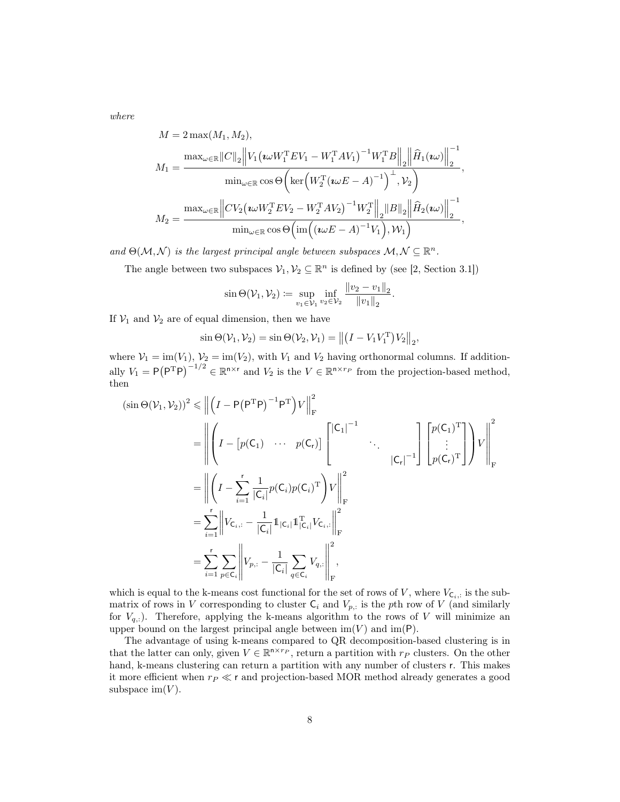where

$$
M = 2 \max(M_1, M_2),
$$
  
\n
$$
M_1 = \frac{\max_{\omega \in \mathbb{R}} ||C||_2 ||V_1(\omega W_1^{\mathrm{T}} E V_1 - W_1^{\mathrm{T}} A V_1)^{-1} W_1^{\mathrm{T}} B ||_2 ||\hat{H}_1(\omega v)||_2^{-1}}{\min_{\omega \in \mathbb{R}} \cos \Theta \left(\ker \left(W_2^{\mathrm{T}} (\omega E - A)^{-1}\right)^{\perp}, V_2\right)},
$$
  
\n
$$
M_2 = \frac{\max_{\omega \in \mathbb{R}} ||CV_2(\omega W_2^{\mathrm{T}} E V_2 - W_2^{\mathrm{T}} A V_2)^{-1} W_2^{\mathrm{T}} ||_2 ||B||_2 ||\hat{H}_2(\omega v)||_2^{-1}}{\min_{\omega \in \mathbb{R}} \cos \Theta \left(\text{im}\left((\omega E - A)^{-1} V_1\right), W_1\right)},
$$

and  $\Theta(\mathcal{M}, \mathcal{N})$  is the largest principal angle between subspaces  $\mathcal{M}, \mathcal{N} \subseteq \mathbb{R}^n$ .

The angle between two subspaces  $\mathcal{V}_1, \mathcal{V}_2 \subseteq \mathbb{R}^n$  is defined by (see [\[2,](#page-12-6) Section 3.1])

$$
\sin \Theta(\mathcal{V}_1, \mathcal{V}_2) \coloneqq \sup_{v_1 \in \mathcal{V}_1} \inf_{v_2 \in \mathcal{V}_2} \frac{\|v_2 - v_1\|_2}{\|v_1\|_2}.
$$

If  $V_1$  and  $V_2$  are of equal dimension, then we have

$$
\sin \Theta(\mathcal{V}_1, \mathcal{V}_2) = \sin \Theta(\mathcal{V}_2, \mathcal{V}_1) = || (I - V_1 V_1^{\mathrm{T}}) V_2 ||_2,
$$

where  $V_1 = \text{im}(V_1)$ ,  $V_2 = \text{im}(V_2)$ , with  $V_1$  and  $V_2$  having orthonormal columns. If additionally  $V_1 = P(P^TP)^{-1/2} \in \mathbb{R}^{n \times r}$  and  $V_2$  is the  $V \in \mathbb{R}^{n \times r_P}$  from the projection-based method, then

$$
(\sin \Theta(\mathcal{V}_1, \mathcal{V}_2))^2 \leq \| \left( I - P(P^{\mathrm{T}} P)^{-1} P^{\mathrm{T}} \right) V \|_{\mathrm{F}}^2
$$
  
\n
$$
= \left\| \left( I - \left[ p(C_1) \cdots p(C_r) \right] \begin{bmatrix} |C_1|^{-1} & & \\ & \ddots & \\ & & |C_r|^{-1} \end{bmatrix} \begin{bmatrix} p(C_1)^{\mathrm{T}} \\ \vdots \\ p(C_r)^{\mathrm{T}} \end{bmatrix} \right) V \right\|_{\mathrm{F}}^2
$$
  
\n
$$
= \left\| \left( I - \sum_{i=1}^r \frac{1}{|C_i|} p(C_i) p(C_i)^{\mathrm{T}} \right) V \right\|_{\mathrm{F}}^2
$$
  
\n
$$
= \sum_{i=1}^r \left\| V_{C_i} - \frac{1}{|C_i|} \mathbb{1}_{|C_i|} \mathbb{1}_{|C_i|}^{\mathrm{T}} V_{C_i} \right\|_{\mathrm{F}}^2
$$
  
\n
$$
= \sum_{i=1}^r \sum_{p \in C_i} \left\| V_{p,:} - \frac{1}{|C_i|} \sum_{q \in C_i} V_{q,:} \right\|_{\mathrm{F}}^2,
$$

which is equal to the k-means cost functional for the set of rows of V, where  $V_{\mathsf{C}_i,:}$  is the submatrix of rows in V corresponding to cluster  $C_i$  and  $V_{p,i}$  is the pth row of V (and similarly for  $V_{q,:}$ ). Therefore, applying the k-means algorithm to the rows of V will minimize an upper bound on the largest principal angle between  $\text{im}(V)$  and  $\text{im}(\mathsf{P})$ .

The advantage of using k-means compared to QR decomposition-based clustering is in that the latter can only, given  $V \in \mathbb{R}^{n \times r_P}$ , return a partition with  $r_P$  clusters. On the other hand, k-means clustering can return a partition with any number of clusters r. This makes it more efficient when  $r_P \ll r$  and projection-based MOR method already generates a good subspace im $(V)$ .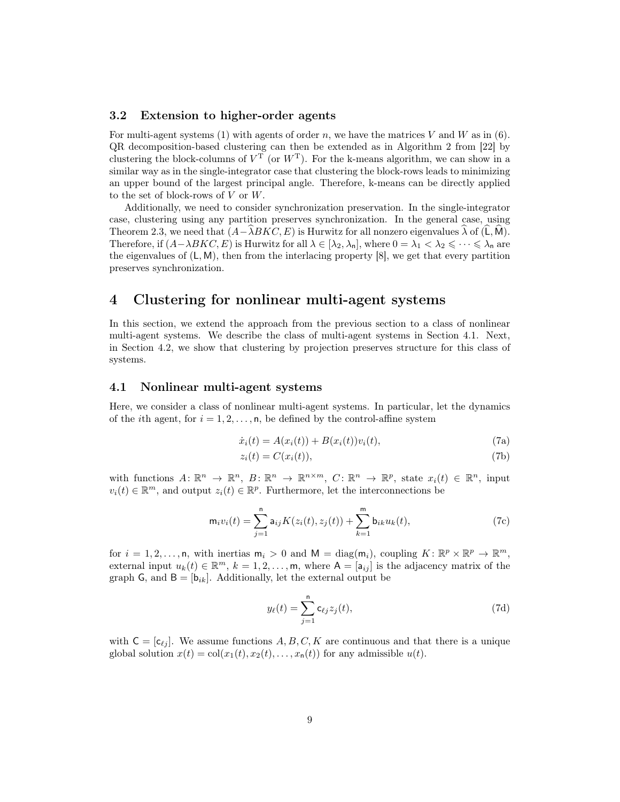#### <span id="page-8-1"></span>3.2 Extension to higher-order agents

For multi-agent systems [\(1\)](#page-3-0) with agents of order n, we have the matrices V and W as in  $(6)$ . QR decomposition-based clustering can then be extended as in Algorithm 2 from [\[22\]](#page-14-3) by clustering the block-columns of  $V^T$  (or  $W^T$ ). For the k-means algorithm, we can show in a similar way as in the single-integrator case that clustering the block-rows leads to minimizing an upper bound of the largest principal angle. Therefore, k-means can be directly applied to the set of block-rows of  $V$  or  $W$ .

Additionally, we need to consider synchronization preservation. In the single-integrator case, clustering using any partition preserves synchronization. In the general case, using Theorem [2.3,](#page-4-6) we need that  $(A-\lambda B K C, E)$  is Hurwitz for all nonzero eigenvalues  $\lambda$  of (L, M). Therefore, if  $(A-\lambda BKC, E)$  is Hurwitz for all  $\lambda \in [\lambda_2, \lambda_n]$ , where  $0 = \lambda_1 < \lambda_2 \leq \cdots \leq \lambda_n$  are the eigenvalues of  $(L, M)$ , then from the interlacing property [\[8\]](#page-13-6), we get that every partition preserves synchronization.

# <span id="page-8-0"></span>4 Clustering for nonlinear multi-agent systems

In this section, we extend the approach from the previous section to a class of nonlinear multi-agent systems. We describe the class of multi-agent systems in Section [4.1.](#page-8-2) Next, in Section [4.2,](#page-9-0) we show that clustering by projection preserves structure for this class of systems.

#### <span id="page-8-2"></span>4.1 Nonlinear multi-agent systems

<span id="page-8-3"></span>Here, we consider a class of nonlinear multi-agent systems. In particular, let the dynamics of the *i*th agent, for  $i = 1, 2, \ldots, n$ , be defined by the control-affine system

$$
\dot{x}_i(t) = A(x_i(t)) + B(x_i(t))v_i(t),
$$
\n(7a)

$$
z_i(t) = C(x_i(t)),\tag{7b}
$$

with functions  $A: \mathbb{R}^n \to \mathbb{R}^n$ ,  $B: \mathbb{R}^n \to \mathbb{R}^{n \times m}$ ,  $C: \mathbb{R}^n \to \mathbb{R}^p$ , state  $x_i(t) \in \mathbb{R}^n$ , input  $v_i(t) \in \mathbb{R}^m$ , and output  $z_i(t) \in \mathbb{R}^p$ . Furthermore, let the interconnections be

$$
\mathsf{m}_i v_i(t) = \sum_{j=1}^{\mathsf{n}} \mathsf{a}_{ij} K(z_i(t), z_j(t)) + \sum_{k=1}^{\mathsf{m}} \mathsf{b}_{ik} u_k(t), \tag{7c}
$$

for  $i = 1, 2, ..., n$ , with inertias  $m_i > 0$  and  $M = diag(m_i)$ , coupling  $K: \mathbb{R}^p \times \mathbb{R}^p \to \mathbb{R}^m$ , external input  $u_k(t) \in \mathbb{R}^m$ ,  $k = 1, 2, ..., m$ , where  $A = [a_{ij}]$  is the adjacency matrix of the graph G, and  $B = [b_{ik}]$ . Additionally, let the external output be

$$
y_{\ell}(t) = \sum_{j=1}^{n} c_{\ell j} z_j(t), \qquad (7d)
$$

with  $C = [c_{\ell j}]$ . We assume functions A, B, C, K are continuous and that there is a unique global solution  $x(t) = col(x_1(t), x_2(t), \ldots, x_n(t))$  for any admissible  $u(t)$ .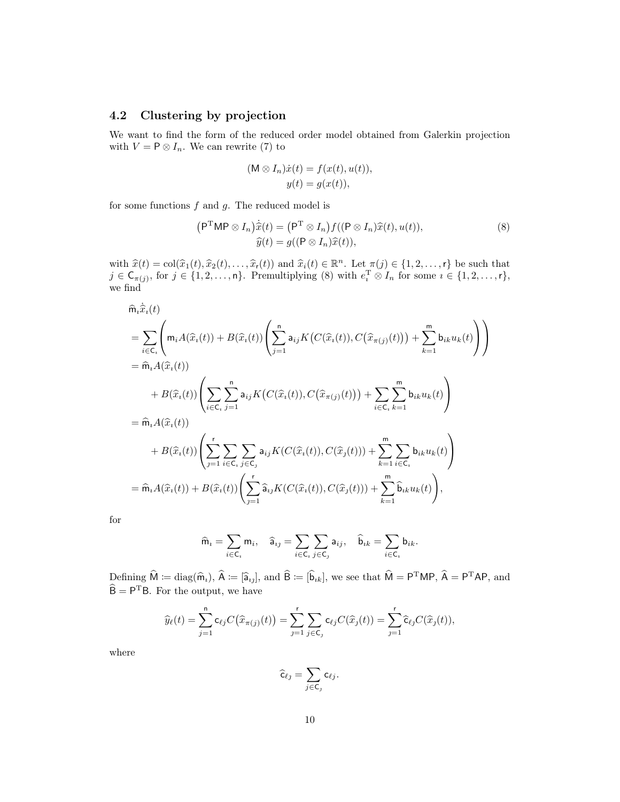## <span id="page-9-0"></span>4.2 Clustering by projection

We want to find the form of the reduced order model obtained from Galerkin projection with  $V = P \otimes I_n$ . We can rewrite [\(7\)](#page-8-3) to

<span id="page-9-1"></span>
$$
(M \otimes I_n)\dot{x}(t) = f(x(t), u(t)),
$$
  

$$
y(t) = g(x(t)),
$$

for some functions  $f$  and  $g$ . The reduced model is

$$
(\mathsf{P}^{\mathrm{T}}\mathsf{M}\mathsf{P}\otimes I_n)\dot{\hat{x}}(t) = (\mathsf{P}^{\mathrm{T}}\otimes I_n)f((\mathsf{P}\otimes I_n)\hat{x}(t),u(t)),
$$
  

$$
\hat{y}(t) = g((\mathsf{P}\otimes I_n)\hat{x}(t)),
$$
\n(8)

with  $\hat{x}(t) = \text{col}(\hat{x}_1(t), \hat{x}_2(t), \dots, \hat{x}_r(t))$  and  $\hat{x}_i(t) \in \mathbb{R}^n$ . Let  $\pi(j) \in \{1, 2, \dots, r\}$  be such that  $j \in \mathsf{C}_{\pi(j)}$ , for  $j \in \{1, 2, \ldots, n\}$ . Premultiplying [\(8\)](#page-9-1) with  $e_i^T \otimes I_n$  for some  $i \in \{1, 2, \ldots, r\}$ , we find

$$
\hat{m}_{i}\hat{x}_{i}(t)
$$
\n
$$
= \sum_{i \in \mathsf{C}_{i}} \left( m_{i} A(\hat{x}_{i}(t)) + B(\hat{x}_{i}(t)) \left( \sum_{j=1}^{n} a_{ij} K\big(C(\hat{x}_{i}(t)), C(\hat{x}_{\pi(j)}(t))\big) + \sum_{k=1}^{m} b_{ik} u_{k}(t) \right) \right)
$$
\n
$$
+ B(\hat{x}_{i}(t)) \left( \sum_{i \in \mathsf{C}_{i}} \sum_{j=1}^{n} a_{ij} K\big(C(\hat{x}_{i}(t)), C(\hat{x}_{\pi(j)}(t))\big) + \sum_{i \in \mathsf{C}_{i}} \sum_{k=1}^{m} b_{ik} u_{k}(t) \right)
$$
\n
$$
= \hat{m}_{i} A(\hat{x}_{i}(t)) \left( \sum_{j=1}^{r} \sum_{i \in \mathsf{C}_{i}} \sum_{j \in \mathsf{C}_{j}} a_{ij} K\big(C(\hat{x}_{i}(t)), C(\hat{x}_{j}(t))\big) + \sum_{k=1}^{m} \sum_{i \in \mathsf{C}_{i}} b_{ik} u_{k}(t) \right)
$$
\n
$$
= \hat{m}_{i} A(\hat{x}_{i}(t)) + B(\hat{x}_{i}(t)) \left( \sum_{j=1}^{r} \hat{a}_{ij} K(C(\hat{x}_{i}(t)), C(\hat{x}_{j}(t))) + \sum_{k=1}^{m} \sum_{i \in \mathsf{C}_{i}} b_{ik} u_{k}(t) \right),
$$

for

$$
\widehat{m}_i = \sum_{i \in C_i} m_i, \quad \widehat{a}_{ij} = \sum_{i \in C_i} \sum_{j \in C_j} a_{ij}, \quad \widehat{b}_{ik} = \sum_{i \in C_i} b_{ik}.
$$

Defining  $\hat{\mathsf{M}} := \text{diag}(\hat{\mathsf{m}}_i)$ ,  $\hat{\mathsf{A}} := [\hat{\mathsf{a}}_{ij}]$ , and  $\hat{\mathsf{B}} := [\hat{\mathsf{b}}_{ik}]$ , we see that  $\hat{\mathsf{M}} = \mathsf{P}^{\mathrm{T}}\mathsf{M}\mathsf{P}$ ,  $\hat{\mathsf{A}} = \mathsf{P}^{\mathrm{T}}\mathsf{A}\mathsf{P}$ , and  $\hat{\mathsf{B}} = \mathsf{P}^{\mathrm{T}}\mathsf{B}$ . For the output, we have

$$
\widehat{y}_{\ell}(t) = \sum_{j=1}^{n} c_{\ell j} C(\widehat{x}_{\pi(j)}(t)) = \sum_{j=1}^{r} \sum_{j \in \mathsf{C}_j} c_{\ell j} C(\widehat{x}_j(t)) = \sum_{j=1}^{r} \widehat{c}_{\ell j} C(\widehat{x}_j(t)),
$$

where

$$
\widehat{\mathsf{c}}_{\ell j} = \sum_{j \in \mathsf{C}_j} \mathsf{c}_{\ell j}.
$$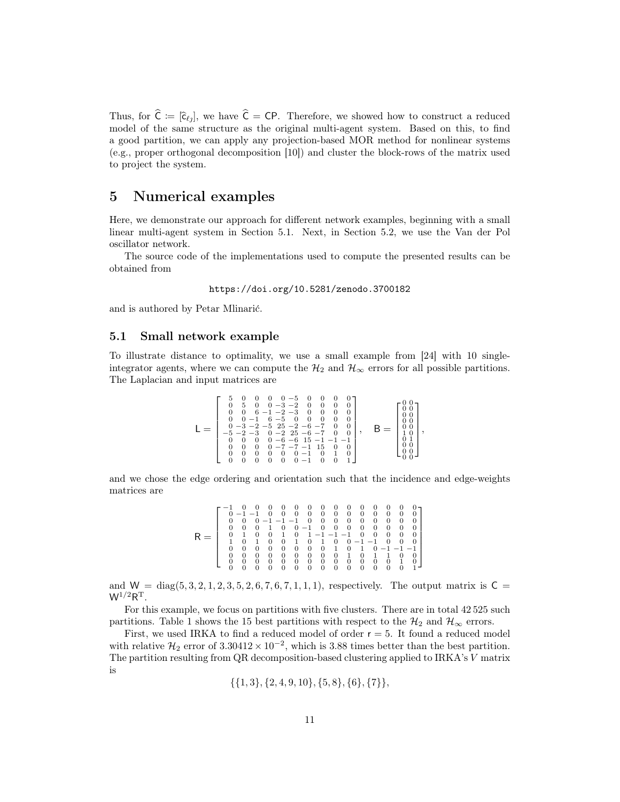Thus, for  $\hat{\mathsf{C}} := [\hat{\mathsf{c}}_{\ell_1}]$ , we have  $\hat{\mathsf{C}} = \mathsf{C}\mathsf{P}$ . Therefore, we showed how to construct a reduced model of the same structure as the original multi-agent system. Based on this, to find a good partition, we can apply any projection-based MOR method for nonlinear systems (e.g., proper orthogonal decomposition [\[10\]](#page-13-7)) and cluster the block-rows of the matrix used to project the system.

# <span id="page-10-0"></span>5 Numerical examples

Here, we demonstrate our approach for different network examples, beginning with a small linear multi-agent system in Section [5.1.](#page-10-1) Next, in Section [5.2,](#page-11-1) we use the Van der Pol oscillator network.

The source code of the implementations used to compute the presented results can be obtained from

```
https://doi.org/10.5281/zenodo.3700182
```
and is authored by Petar Mlinarić.

#### <span id="page-10-1"></span>5.1 Small network example

To illustrate distance to optimality, we use a small example from [\[24\]](#page-15-1) with 10 singleintegrator agents, where we can compute the  $\mathcal{H}_2$  and  $\mathcal{H}_{\infty}$  errors for all possible partitions. The Laplacian and input matrices are

$$
\mathsf{L} = \left[\begin{smallmatrix}5 & 0 & 0 & 0 & 0 & -5 & 0 & 0 & 0 & 0 \\ 0 & 5 & 0 & 0 & -3 & -2 & 0 & 0 & 0 & 0 \\ 0 & 0 & 6 & -1 & -2 & -3 & 0 & 0 & 0 & 0 \\ 0 & 0 & -1 & 6 & -5 & 0 & 0 & 0 & 0 & 0 \\ 0 & -3 & -2 & -5 & 25 & -6 & -7 & 0 & 0 \\ -5 & -2 & -3 & 0 & -2 & 25 & -6 & -7 & 0 & 0 \\ 0 & 0 & 0 & 0 & -6 & -6 & 15 & -1 & -1 & -1 \\ 0 & 0 & 0 & 0 & 0 & -7 & -7 & -1 & 15 & 0 & 0 \\ 0 & 0 & 0 & 0 & 0 & 0 & -1 & 0 & 0 & 1\end{smallmatrix}\right], \quad \mathsf{B} = \left[\begin{smallmatrix}0 & 0 \\0 & 0 \\0 & 0 \\0 & 0 \\0 & 0 \\1 & 0 \\0 & 0 \\0 & 0\end{smallmatrix}\right],
$$

and we chose the edge ordering and orientation such that the incidence and edge-weights matrices are

|   |   |             |   |          |                | 0 | 0          | 0              | 0        | 0 |              |   |                | 0        |   |  |
|---|---|-------------|---|----------|----------------|---|------------|----------------|----------|---|--------------|---|----------------|----------|---|--|
|   |   | $0 - 1 - 1$ |   |          | 0              | 0 | $\theta$   | 0              | 0        | 0 | 0            | 0 | 0              | 0        | 0 |  |
|   |   | 0           |   |          | $-1$ $-1$ $-1$ |   | $\theta$   | 0              | $\theta$ | 0 | 0            | 0 | 0              | 0        | 0 |  |
|   | 0 | 0           | 0 |          | $\overline{0}$ | 0 | $-1$       | $\theta$       | $\theta$ | 0 | 0            | 0 | $\theta$       | $\theta$ | 0 |  |
| R |   |             |   | $\theta$ |                |   | $0\quad 1$ | $-1$ $-1$ $-1$ |          |   | $\theta$     | 0 | $\theta$       | $\theta$ | 0 |  |
|   |   |             |   |          | 0              | 1 | $\theta$   | 1              | $\theta$ | 0 | $-1 -1$      |   | $\overline{0}$ | $\theta$ | 0 |  |
|   |   | 0           | 0 | 0        | 0              | 0 | $\theta$   | 0              | 1        | 0 | $\mathbf{1}$ |   | $-1$ $-1$ $-1$ |          |   |  |
|   |   |             |   | 0        | 0              | 0 | 0          | 0              | 0        | 1 |              |   |                | 0        |   |  |
|   |   | 0           | 0 | 0        | 0              | 0 | 0          | 0              | 0        | 0 | $\theta$     | 0 | 0              | 1        |   |  |
|   |   |             |   |          |                |   |            |                |          |   |              |   |                |          |   |  |

and  $W = diag(5, 3, 2, 1, 2, 3, 5, 2, 6, 7, 6, 7, 1, 1, 1)$ , respectively. The output matrix is  $C =$  $W^{1/2}R^{T}$ .

For this example, we focus on partitions with five clusters. There are in total 42 525 such partitions. Table [1](#page-17-0) shows the 15 best partitions with respect to the  $\mathcal{H}_2$  and  $\mathcal{H}_{\infty}$  errors.

First, we used IRKA to find a reduced model of order  $r = 5$ . It found a reduced model with relative  $\mathcal{H}_2$  error of  $3.30412 \times 10^{-2}$ , which is 3.88 times better than the best partition. The partition resulting from QR decomposition-based clustering applied to IRKA's V matrix is

$$
\{\{1,3\},\{2,4,9,10\},\{5,8\},\{6\},\{7\}\},
$$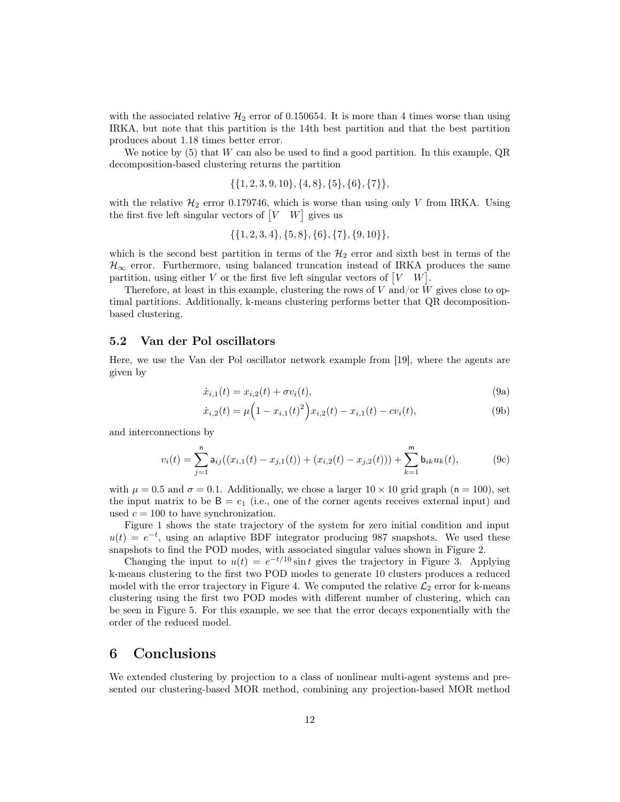with the associated relative  $\mathcal{H}_2$  error of 0.150654. It is more than 4 times worse than using IRKA, but note that this partition is the 14th best partition and that the best partition produces about 1.18 times better error.

We notice by  $(5)$  that W can also be used to find a good partition. In this example, QR decomposition-based clustering returns the partition

$$
\{\{1,2,3,9,10\},\{4,8\},\{5\},\{6\},\{7\}\},
$$

with the relative  $\mathcal{H}_2$  error 0.179746, which is worse than using only V from IRKA. Using the first five left singular vectors of  $[V \ W]$  gives us

$$
\{\{1,2,3,4\},\{5,8\},\{6\},\{7\},\{9,10\}\},
$$

which is the second best partition in terms of the  $\mathcal{H}_2$  error and sixth best in terms of the  $\mathcal{H}_{\infty}$  error. Furthermore, using balanced truncation instead of IRKA produces the same partition, using either V or the first five left singular vectors of  $[V \mid W]$ .

Therefore, at least in this example, clustering the rows of  $V$  and/or  $W$  gives close to optimal partitions. Additionally, k-means clustering performs better that QR decompositionbased clustering.

## <span id="page-11-1"></span>5.2 Van der Pol oscillators

<span id="page-11-2"></span>Here, we use the Van der Pol oscillator network example from [\[19\]](#page-14-7), where the agents are given by

$$
\dot{x}_{i,1}(t) = x_{i,2}(t) + \sigma v_i(t),\tag{9a}
$$

$$
\dot{x}_{i,2}(t) = \mu \left( 1 - x_{i,1}(t)^2 \right) x_{i,2}(t) - x_{i,1}(t) - c v_i(t), \tag{9b}
$$

and interconnections by

$$
v_i(t) = \sum_{j=1}^n a_{ij}((x_{i,1}(t) - x_{j,1}(t)) + (x_{i,2}(t) - x_{j,2}(t))) + \sum_{k=1}^m b_{ik}u_k(t),
$$
 (9c)

with  $\mu = 0.5$  and  $\sigma = 0.1$ . Additionally, we chose a larger  $10 \times 10$  grid graph (n = 100), set the input matrix to be  $B = e_1$  (i.e., one of the corner agents receives external input) and used  $c = 100$  to have synchronization.

Figure [1](#page-12-7) shows the state trajectory of the system for zero initial condition and input  $u(t) = e^{-t}$ , using an adaptive BDF integrator producing 987 snapshots. We used these snapshots to find the POD modes, with associated singular values shown in Figure [2.](#page-13-8)

Changing the input to  $u(t) = e^{-t/10} \sin t$  gives the trajectory in Figure [3.](#page-14-8) Applying k-means clustering to the first two POD modes to generate 10 clusters produces a reduced model with the error trajectory in Figure [4.](#page-15-4) We computed the relative  $\mathcal{L}_2$  error for k-means clustering using the first two POD modes with different number of clustering, which can be seen in Figure [5.](#page-16-0) For this example, we see that the error decays exponentially with the order of the reduced model.

## <span id="page-11-0"></span>6 Conclusions

We extended clustering by projection to a class of nonlinear multi-agent systems and presented our clustering-based MOR method, combining any projection-based MOR method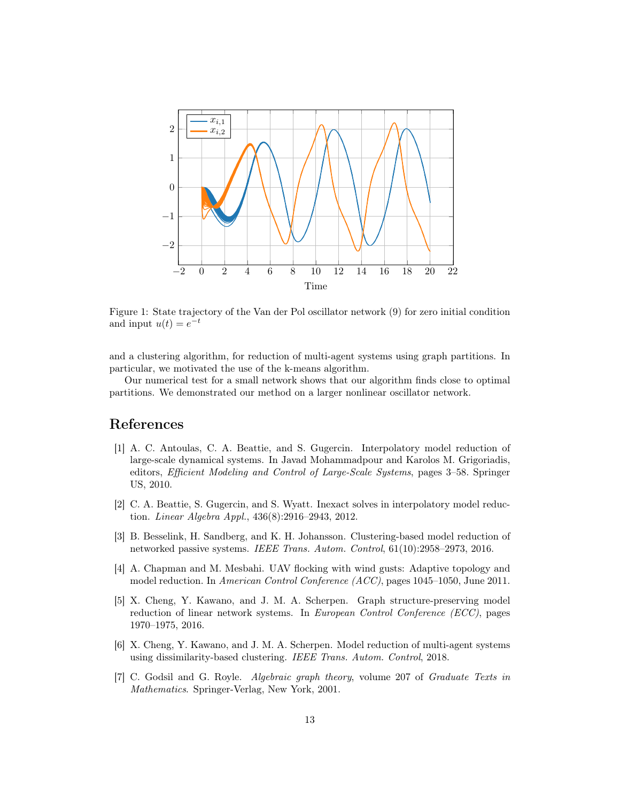

<span id="page-12-7"></span>Figure 1: State trajectory of the Van der Pol oscillator network [\(9\)](#page-11-2) for zero initial condition and input  $u(t) = e^{-t}$ 

and a clustering algorithm, for reduction of multi-agent systems using graph partitions. In particular, we motivated the use of the k-means algorithm.

Our numerical test for a small network shows that our algorithm finds close to optimal partitions. We demonstrated our method on a larger nonlinear oscillator network.

# References

- <span id="page-12-2"></span>[1] A. C. Antoulas, C. A. Beattie, and S. Gugercin. Interpolatory model reduction of large-scale dynamical systems. In Javad Mohammadpour and Karolos M. Grigoriadis, editors, Efficient Modeling and Control of Large-Scale Systems, pages 3–58. Springer US, 2010.
- <span id="page-12-6"></span>[2] C. A. Beattie, S. Gugercin, and S. Wyatt. Inexact solves in interpolatory model reduction. Linear Algebra Appl., 436(8):2916–2943, 2012.
- <span id="page-12-1"></span>[3] B. Besselink, H. Sandberg, and K. H. Johansson. Clustering-based model reduction of networked passive systems. IEEE Trans. Autom. Control, 61(10):2958–2973, 2016.
- <span id="page-12-0"></span>[4] A. Chapman and M. Mesbahi. UAV flocking with wind gusts: Adaptive topology and model reduction. In American Control Conference (ACC), pages 1045–1050, June 2011.
- <span id="page-12-4"></span>[5] X. Cheng, Y. Kawano, and J. M. A. Scherpen. Graph structure-preserving model reduction of linear network systems. In European Control Conference (ECC), pages 1970–1975, 2016.
- <span id="page-12-5"></span>[6] X. Cheng, Y. Kawano, and J. M. A. Scherpen. Model reduction of multi-agent systems using dissimilarity-based clustering. IEEE Trans. Autom. Control, 2018.
- <span id="page-12-3"></span>[7] C. Godsil and G. Royle. Algebraic graph theory, volume 207 of Graduate Texts in Mathematics. Springer-Verlag, New York, 2001.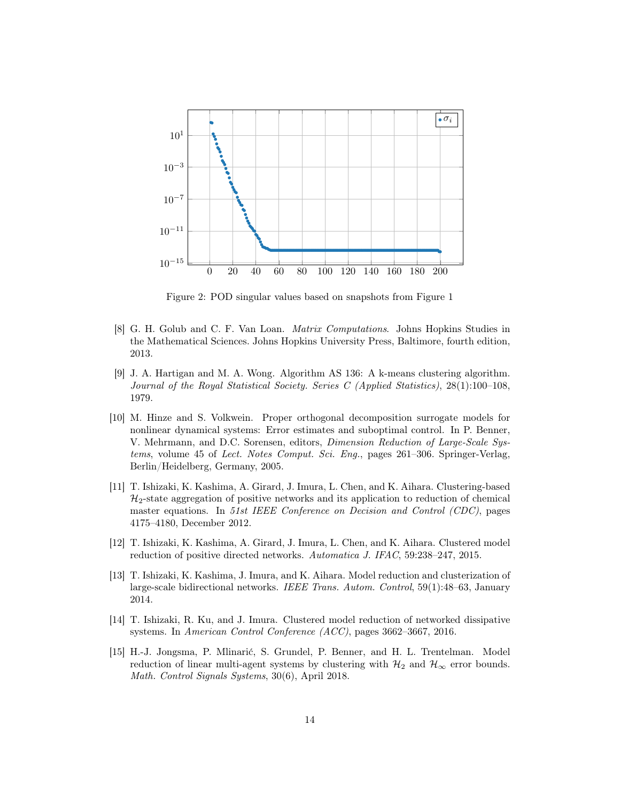

<span id="page-13-8"></span>Figure 2: POD singular values based on snapshots from Figure [1](#page-12-7)

- <span id="page-13-6"></span>[8] G. H. Golub and C. F. Van Loan. Matrix Computations. Johns Hopkins Studies in the Mathematical Sciences. Johns Hopkins University Press, Baltimore, fourth edition, 2013.
- <span id="page-13-5"></span>[9] J. A. Hartigan and M. A. Wong. Algorithm AS 136: A k-means clustering algorithm. Journal of the Royal Statistical Society. Series C (Applied Statistics), 28(1):100–108, 1979.
- <span id="page-13-7"></span>[10] M. Hinze and S. Volkwein. Proper orthogonal decomposition surrogate models for nonlinear dynamical systems: Error estimates and suboptimal control. In P. Benner, V. Mehrmann, and D.C. Sorensen, editors, Dimension Reduction of Large-Scale Systems, volume 45 of Lect. Notes Comput. Sci. Eng., pages 261–306. Springer-Verlag, Berlin/Heidelberg, Germany, 2005.
- <span id="page-13-2"></span>[11] T. Ishizaki, K. Kashima, A. Girard, J. Imura, L. Chen, and K. Aihara. Clustering-based  $\mathcal{H}_2$ -state aggregation of positive networks and its application to reduction of chemical master equations. In 51st IEEE Conference on Decision and Control (CDC), pages 4175–4180, December 2012.
- <span id="page-13-3"></span>[12] T. Ishizaki, K. Kashima, A. Girard, J. Imura, L. Chen, and K. Aihara. Clustered model reduction of positive directed networks. Automatica J. IFAC, 59:238–247, 2015.
- <span id="page-13-1"></span>[13] T. Ishizaki, K. Kashima, J. Imura, and K. Aihara. Model reduction and clusterization of large-scale bidirectional networks. IEEE Trans. Autom. Control, 59(1):48–63, January 2014.
- <span id="page-13-4"></span>[14] T. Ishizaki, R. Ku, and J. Imura. Clustered model reduction of networked dissipative systems. In American Control Conference (ACC), pages 3662–3667, 2016.
- <span id="page-13-0"></span>[15] H.-J. Jongsma, P. Mlinarić, S. Grundel, P. Benner, and H. L. Trentelman. Model reduction of linear multi-agent systems by clustering with  $\mathcal{H}_2$  and  $\mathcal{H}_{\infty}$  error bounds. Math. Control Signals Systems, 30(6), April 2018.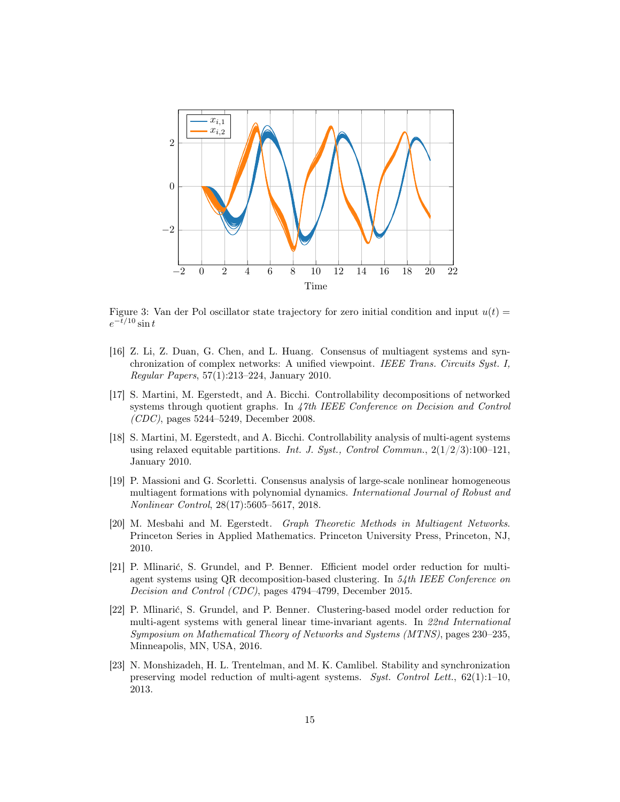

<span id="page-14-8"></span>Figure 3: Van der Pol oscillator state trajectory for zero initial condition and input  $u(t)$  =  $e^{-t/10}\sin t$ 

- <span id="page-14-6"></span>[16] Z. Li, Z. Duan, G. Chen, and L. Huang. Consensus of multiagent systems and synchronization of complex networks: A unified viewpoint. IEEE Trans. Circuits Syst. I, Regular Papers, 57(1):213–224, January 2010.
- <span id="page-14-0"></span>[17] S. Martini, M. Egerstedt, and A. Bicchi. Controllability decompositions of networked systems through quotient graphs. In 47th IEEE Conference on Decision and Control (CDC), pages 5244–5249, December 2008.
- <span id="page-14-1"></span>[18] S. Martini, M. Egerstedt, and A. Bicchi. Controllability analysis of multi-agent systems using relaxed equitable partitions. Int. J. Syst., Control Commun.,  $2(1/2/3):100-121$ , January 2010.
- <span id="page-14-7"></span>[19] P. Massioni and G. Scorletti. Consensus analysis of large-scale nonlinear homogeneous multiagent formations with polynomial dynamics. International Journal of Robust and Nonlinear Control, 28(17):5605–5617, 2018.
- <span id="page-14-4"></span>[20] M. Mesbahi and M. Egerstedt. Graph Theoretic Methods in Multiagent Networks. Princeton Series in Applied Mathematics. Princeton University Press, Princeton, NJ, 2010.
- <span id="page-14-2"></span>[21] P. Mlinarić, S. Grundel, and P. Benner. Efficient model order reduction for multiagent systems using QR decomposition-based clustering. In 54th IEEE Conference on Decision and Control (CDC), pages 4794–4799, December 2015.
- <span id="page-14-3"></span>[22] P. Mlinarić, S. Grundel, and P. Benner. Clustering-based model order reduction for multi-agent systems with general linear time-invariant agents. In 22nd International Symposium on Mathematical Theory of Networks and Systems (MTNS), pages 230–235, Minneapolis, MN, USA, 2016.
- <span id="page-14-5"></span>[23] N. Monshizadeh, H. L. Trentelman, and M. K. Camlibel. Stability and synchronization preserving model reduction of multi-agent systems. Syst. Control Lett., 62(1):1–10, 2013.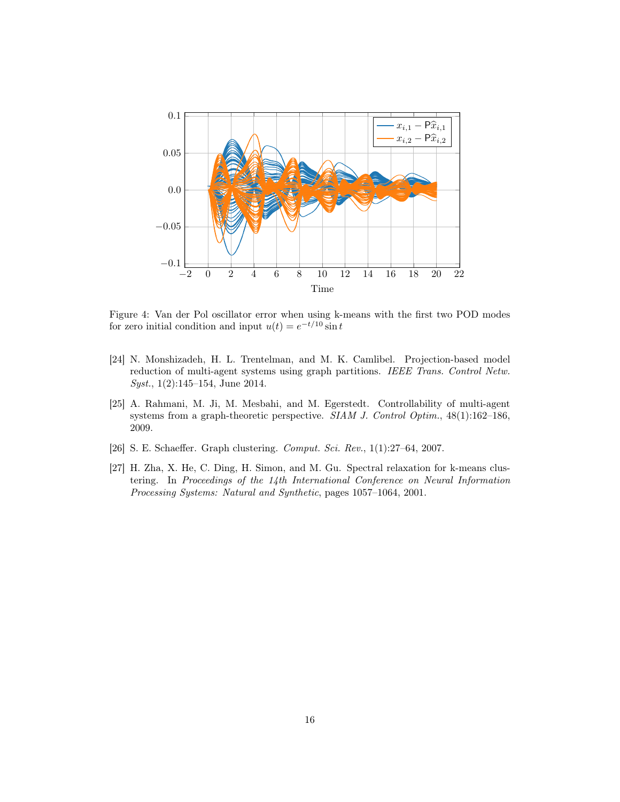

<span id="page-15-4"></span>Figure 4: Van der Pol oscillator error when using k-means with the first two POD modes for zero initial condition and input  $u(t) = e^{-t/10} \sin t$ 

- <span id="page-15-1"></span>[24] N. Monshizadeh, H. L. Trentelman, and M. K. Camlibel. Projection-based model reduction of multi-agent systems using graph partitions. IEEE Trans. Control Netw. Syst., 1(2):145–154, June 2014.
- <span id="page-15-0"></span>[25] A. Rahmani, M. Ji, M. Mesbahi, and M. Egerstedt. Controllability of multi-agent systems from a graph-theoretic perspective.  $SIAM$  J. Control Optim.,  $48(1):162-186$ , 2009.
- <span id="page-15-3"></span>[26] S. E. Schaeffer. Graph clustering. *Comput. Sci. Rev.*, 1(1):27–64, 2007.
- <span id="page-15-2"></span>[27] H. Zha, X. He, C. Ding, H. Simon, and M. Gu. Spectral relaxation for k-means clustering. In Proceedings of the 14th International Conference on Neural Information Processing Systems: Natural and Synthetic, pages 1057–1064, 2001.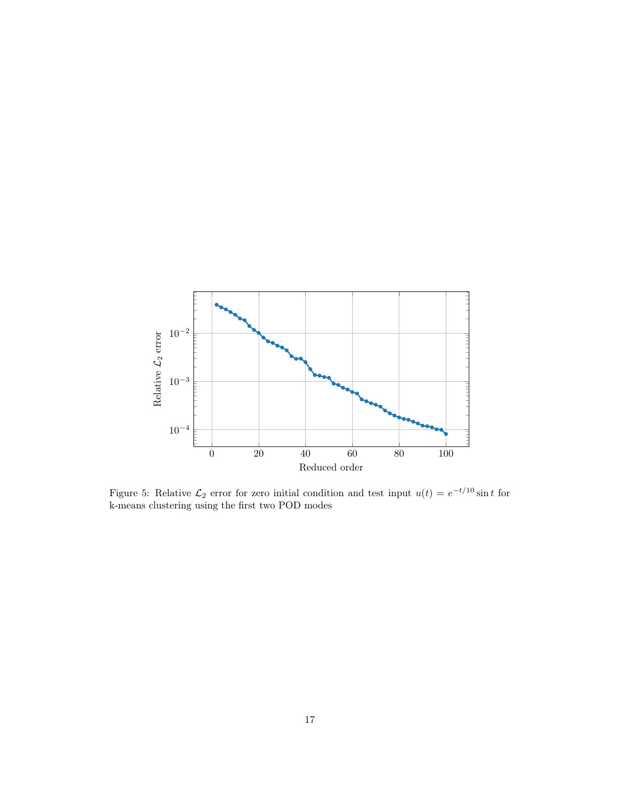

<span id="page-16-0"></span>Figure 5: Relative  $\mathcal{L}_2$  error for zero initial condition and test input  $u(t) = e^{-t/10} \sin t$  for k-means clustering using the first two POD modes